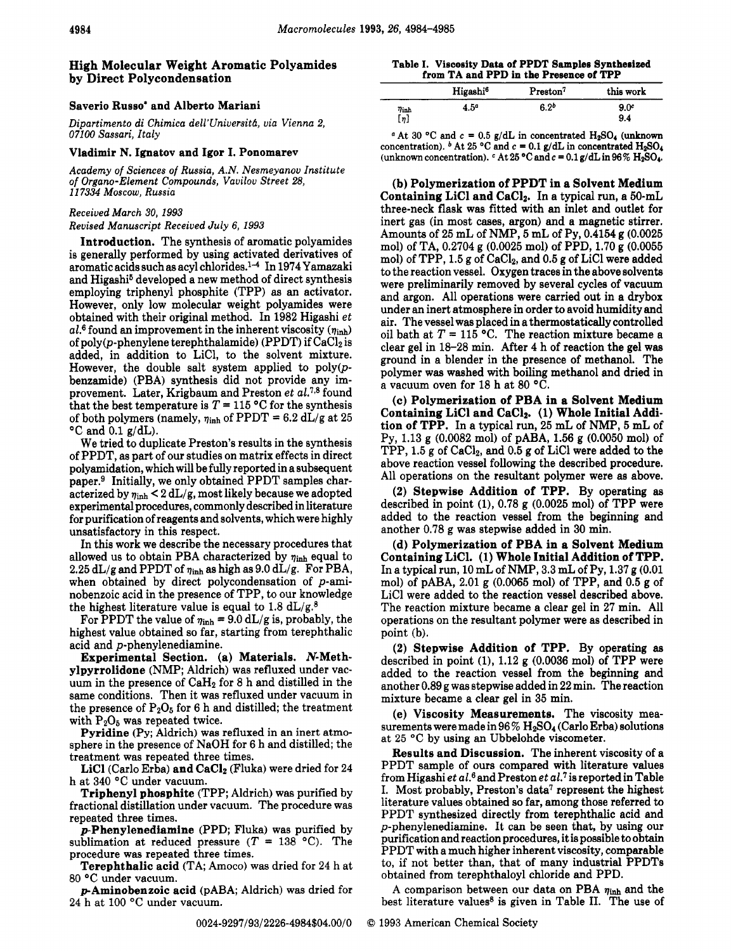# High Molecular Weight Aromatic Polyamides by Direct Polycondensation

## Saverio RUSSO\* and Albert0 Mariani

**Dipartimento di Chimica dell'llniversitb, via Vienna 2,**  *07100* **Sassari, Italy** 

#### Vladimir **N.** Ignatov and Igor I. Ponomarev

**Academy** *of* **Sciences** *of* **Russia, A.N. Nesmeyanov Institute**  *of* **Organo-Element Compounds, Vavilov Street 28,**  *117334* **Moscow, Russia** 

### **Received** *March 30, 1993*

#### **Revised Manuscript Received July 6,** *1993*

Introduction. The synthesis of aromatic polyamides is generally performed by using activated derivatives of aromatic acids such as acyl chlorides.la In **1974** Yamazaki and Higashi<sup>5</sup> developed a new method of direct synthesis employing triphenyl phosphite (TPP) **as** an activator. However, only low molecular weight polyamides were obtained with their original method. In **1982** Higashi **et**  al.<sup>6</sup> found an improvement in the inherent viscosity  $(\eta_{\text{inh}})$ of poly(p-phenylene terephthalamide) (PPDT) if  $CaCl<sub>2</sub>$  is added, in addition to LiC1, to the solvent mixture. However, the double salt system applied to  $poly(p-1)$ benzamide) (PBA) synthesis did not provide any improvement. Later, Krigbaum and Preston **et** *aL7t8* found that the best temperature is  $T = 115$  °C for the synthesis of both polymers (namely,  $\eta_{\text{inh}}$  of PPDT = 6.2  $dL/g$  at 25 "C and **0.1** g/dL).

We tried to duplicate Preston's results in the synthesis of PPDT, as part of our studies on matrix effects in direct polyamidation, which will be fully reported in a subsequent paper.<sup>9</sup> Initially, we only obtained PPDT samples characterized by  $\eta_{\text{inh}} < 2 dL/g$ , most likely because we adopted experimental procedures, commonly described in literature for purification of reagents and solvents, which were highly unsatisfactory in this respect.

In this work we describe the necessary procedures that allowed us to obtain PBA characterized by  $\eta_{\text{inh}}$  equal to  $2.25$  dL/g and PPDT of  $\eta_{inh}$  as high as  $9.0$  dL/g. For PBA, when obtained by direct polycondensation of p-aminobenzoic acid in the presence of TPP, to our knowledge the highest literature value is equal to **1.8** dL/g.8

For PPDT the value of  $\eta_{\text{inh}} = 9.0 \text{ dL/g}$  is, probably, the highest value obtained so far, starting from terephthalic acid and p-phenylenediamine.

Experimental Section. **(a)** Materials. N-Methylpyrrolidone (NMP; Aldrich) was refluxed under vacuum in the presence of CaH2 for **8** h and distilled in the same conditions. Then it was refluxed under vacuum in the presence of  $P_2O_5$  for 6 h and distilled; the treatment with  $P_2O_5$  was repeated twice.

Pyridine (Py; Aldrich) was refluxed in an inert atmosphere in the presence of NaOH for **6** h and distilled; the treatment was repeated three times.

LiCl (Carlo Erba) and CaC12 (Fluka) were dried for **24**  h at **340** "C under vacuum.

Triphenyl phosphite (TPP; Aldrich) was purified by fractional distillation under vacuum. The procedure was repeated three times.

 $p$ -Phenylenediamine (PPD; Fluka) was purified by sublimation at reduced pressure  $(T = 138 \text{ °C})$ . The procedure was repeated three times.

Terephthalic acid (TA; Amoco) was dried for **24** h at **80 "C** under vacuum.

pAminobenzoic acid (PABA; Aldrich) was dried for **24** h at **100** "C under vacuum.

**Table I. Viscosity Data of PPDT Samples Synthesized from TA and PPD in the Prewnce of TPP** 

|                     | Higashi <sup>6</sup> | Preston <sup>7</sup> | this work   |
|---------------------|----------------------|----------------------|-------------|
| $\eta_{\rm inh}$    | 4.5ª                 | 6.2 <sup>b</sup>     | $9.0^\circ$ |
| $\left[\eta\right]$ |                      |                      | 9.4         |

<sup>*a*</sup> At 30 <sup>°</sup>C and  $c = 0.5$  g/dL in concentrated  $H_2SO_4$  (unknown concentration).  $\mathbf{^b}$  At 25 °C and  $\mathbf{^c}$  = 0.1 g/dL in concentrated H<sub>2</sub>SO<sub>4</sub> (unknown concentration).  $\cdot$  At 25  $\cdot$ C and  $c = 0.1$  g/dL in 96%  $H_2SO_4$ .

**(b)** Polymerization of PPDT in a Solvent Medium Containing LiCl and CaC12. In a typical run, a 50-mL three-neck flask was fitted with an inlet and outlet for inert gas (in most cases, argon) and a magnetic stirrer. Amounts of **25** mL of NMP, *5* mL of Py, **0.4154** g **(0.0025**  mol) of TA, **0.2704** g **(0.0025** mol) of PPD, **1.70** g **(0.0055**  mol) of TPP, 1.5 g of CaCl<sub>2</sub>, and 0.5 g of LiCl were added to the reaction vessel. Oxygen traces in the above solvents were preliminarily removed by several cycles of vacuum and argon. All operations were carried out in a drybox under an inert atmosphere in order to avoid humidity and air. The vessel was placed in a thermostatically controlled oil bath at  $T = 115$  °C. The reaction mixture became a clear gel in **18-28** min. After **4** h of reaction the gel was ground in a blender in the presence of methanol. The polymer was washed with boiling methanol and dried in a vacuum oven for **18** h at **80** "C.

**(c)** Polymerization of PBA in a Solvent Medium Containing LiCl and CaClz. **(1)** Whole Initial Addition of TPP. In a typical run, **25** mL of NMP, *5* mL of Py, **1.13** g **(0.0082** mol) of PABA, **1.56** g **(0.0050** mol) of TPP, 1.5 g of CaC12, and **0.5** g of LiCl were added to the above reaction vessel following the described procedure. All operations on the resultant polymer were as above.

**(2)** Stepwise Addition of TPP. By operating **as**  described in point **(l), 0.78** g **(0.0025** mol) of TPP were added to the reaction vessel from the beginning and another **0.78** g was stepwise added in **30** min.

(d) Polymerization of PBA in a Solvent Medium Containing LiCl. **(1)** Whole Initial Addition of TPP. In a typical run, **10** mL of NMP, **3.3** mL of Py, **1.37** g **(0.01**  mol) of PABA, **2.01** g **(0.0065** mol) of TPP, and **0.5** g of LiCl were added to the reaction vessel described above. The reaction mixture became a clear gel in **27** min. All operations on the resultant polymer were as described in point (b).

**(2)** Stepwise Addition of TPP. By operating **as**  described in point **(l), 1.12** g **(0.0036** mol) of TPP were added to the reaction vessel from the beginning and another **0.89** g was stepwise added in **22** min. The reaction mixture became a clear gel in **35** min.

(e) Viscosity Measurements. The viscosity measurements were made in **96** % H2S04 (Carlo Erba) solutions at **25** "C by using an Ubbelohde viscometer.

Results and Discussion. The inherent viscosity of a PPDT sample of ours compared with literature values from Higashi **et** al.6and Preston et *tal,'* is reported in Table I. Most probably, Preston's data<sup>7</sup> represent the highest literature values obtained so far, among those referred to PPDT synthesized directly from terephthalic acid and p-phenylenediamine. It can be seen that, by using our purification and reaction procedures, it is possible to obtain PPDT with a much higher inherent viscosity, comparable to, if not better than, that of many industrial PPDTs obtained from terephthaloyl chloride and PPD.

A comparison between our data on PBA  $\eta_{inh}$  and the best literature values<sup>8</sup> is given in Table II. The use of

**0024-9297/93/2226-4984\$04.00/0** *0* 1993 American Chemical Society